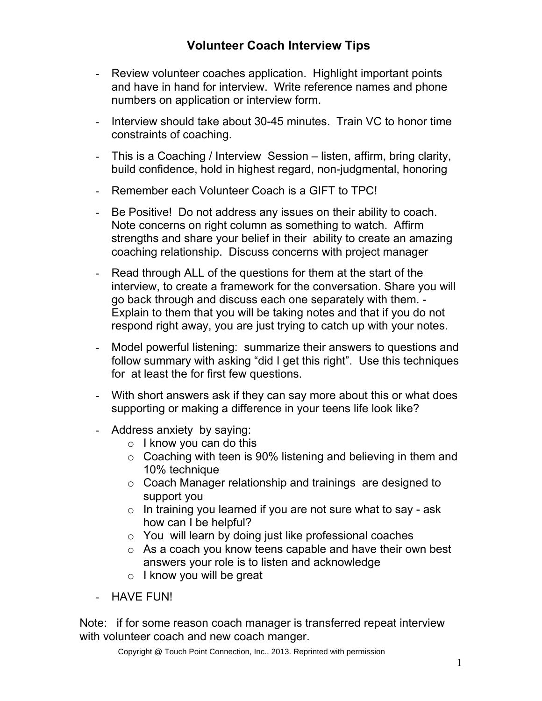- Review volunteer coaches application. Highlight important points and have in hand for interview. Write reference names and phone numbers on application or interview form.
- Interview should take about 30-45 minutes. Train VC to honor time constraints of coaching.
- This is a Coaching / Interview Session listen, affirm, bring clarity, build confidence, hold in highest regard, non-judgmental, honoring
- Remember each Volunteer Coach is a GIFT to TPC!
- Be Positive! Do not address any issues on their ability to coach. Note concerns on right column as something to watch. Affirm strengths and share your belief in their ability to create an amazing coaching relationship. Discuss concerns with project manager
- Read through ALL of the questions for them at the start of the interview, to create a framework for the conversation. Share you will go back through and discuss each one separately with them. - Explain to them that you will be taking notes and that if you do not respond right away, you are just trying to catch up with your notes.
- Model powerful listening: summarize their answers to questions and follow summary with asking "did I get this right". Use this techniques for at least the for first few questions.
- With short answers ask if they can say more about this or what does supporting or making a difference in your teens life look like?
- Address anxiety by saying:
	- $\circ$  I know you can do this
	- o Coaching with teen is 90% listening and believing in them and 10% technique
	- o Coach Manager relationship and trainings are designed to support you
	- $\circ$  In training you learned if you are not sure what to say ask how can I be helpful?
	- o You will learn by doing just like professional coaches
	- o As a coach you know teens capable and have their own best answers your role is to listen and acknowledge
	- $\circ$  I know you will be great
- HAVE FUN!

Note: if for some reason coach manager is transferred repeat interview with volunteer coach and new coach manger.

Copyright @ Touch Point Connection, Inc., 2013. Reprinted with permission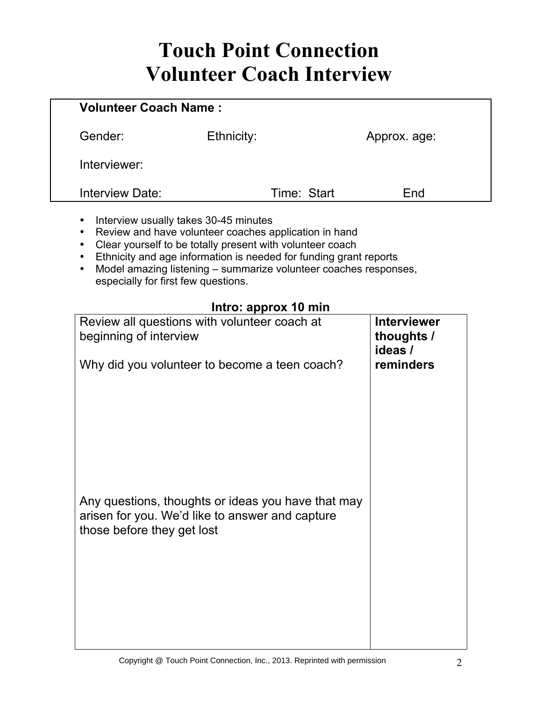# Touch Point Connection Volunteer Coach Interview

| <b>Volunteer Coach Name:</b> |            |             |              |
|------------------------------|------------|-------------|--------------|
| Gender:                      | Ethnicity: |             | Approx. age: |
| Interviewer:                 |            |             |              |
| Interview Date:              |            | Time: Start | End          |
|                              |            |             |              |

- Interview usually takes 30-45 minutes
- Review and have volunteer coaches application in hand
- Clear yourself to be totally present with volunteer coach
- Ethnicity and age information is needed for funding grant reports
- Model amazing listening summarize volunteer coaches responses, especially for first few questions.

#### **Intro: approx 10 min**

| $\cdots$<br>Review all questions with volunteer coach at<br>beginning of interview                                                  | <b>Interviewer</b><br>thoughts /<br>ideas / |
|-------------------------------------------------------------------------------------------------------------------------------------|---------------------------------------------|
| Why did you volunteer to become a teen coach?                                                                                       | reminders                                   |
| Any questions, thoughts or ideas you have that may<br>arisen for you. We'd like to answer and capture<br>those before they get lost |                                             |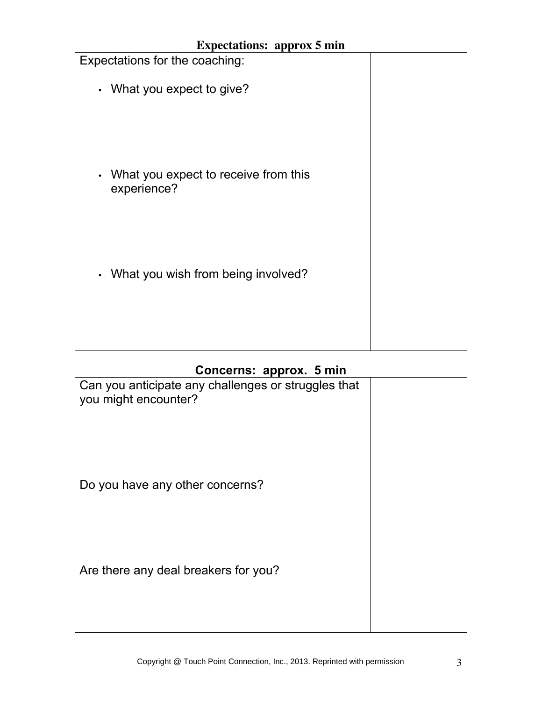| <b>Expectations: approx 5 min</b>                                |  |
|------------------------------------------------------------------|--|
| Expectations for the coaching:                                   |  |
| • What you expect to give?                                       |  |
|                                                                  |  |
|                                                                  |  |
|                                                                  |  |
| What you expect to receive from this<br>$\bullet$<br>experience? |  |
|                                                                  |  |
|                                                                  |  |
|                                                                  |  |
| What you wish from being involved?<br>$\bullet$                  |  |
|                                                                  |  |
|                                                                  |  |

#### **Concerns: approx. 5 min**

| $\sim$                                              |  |
|-----------------------------------------------------|--|
| Can you anticipate any challenges or struggles that |  |
| you might encounter?                                |  |
|                                                     |  |
|                                                     |  |
|                                                     |  |
|                                                     |  |
| Do you have any other concerns?                     |  |
|                                                     |  |
|                                                     |  |
|                                                     |  |
|                                                     |  |
| Are there any deal breakers for you?                |  |
|                                                     |  |
|                                                     |  |
|                                                     |  |
|                                                     |  |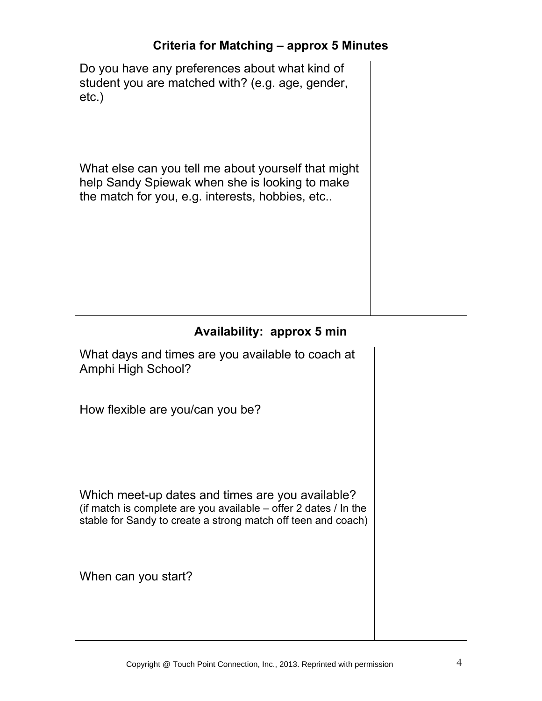| Do you have any preferences about what kind of<br>student you are matched with? (e.g. age, gender,<br>$etc.$ )                                           |  |
|----------------------------------------------------------------------------------------------------------------------------------------------------------|--|
| What else can you tell me about yourself that might<br>help Sandy Spiewak when she is looking to make<br>the match for you, e.g. interests, hobbies, etc |  |

## **Availability: approx 5 min**

| What days and times are you available to coach at<br>Amphi High School?                                                                                                                 |  |
|-----------------------------------------------------------------------------------------------------------------------------------------------------------------------------------------|--|
| How flexible are you/can you be?                                                                                                                                                        |  |
| Which meet-up dates and times are you available?<br>(if match is complete are you available $-$ offer 2 dates / In the<br>stable for Sandy to create a strong match off teen and coach) |  |
| When can you start?                                                                                                                                                                     |  |
|                                                                                                                                                                                         |  |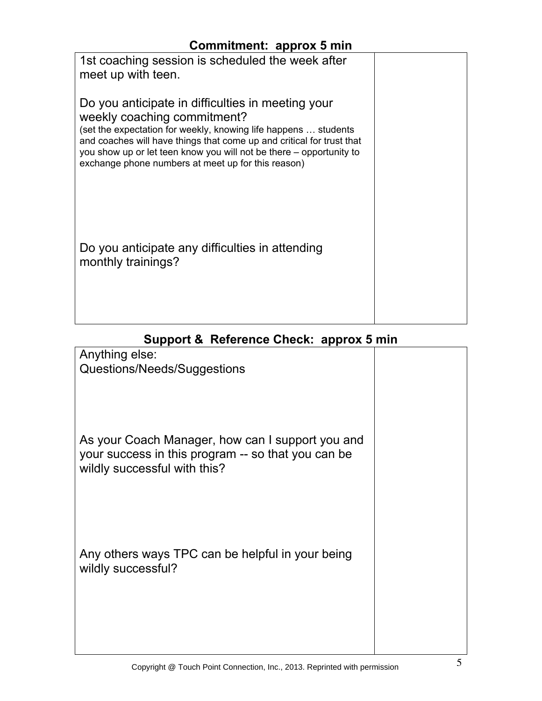#### **Commitment: approx 5 min**

| 1st coaching session is scheduled the week after                      |  |
|-----------------------------------------------------------------------|--|
| meet up with teen.                                                    |  |
|                                                                       |  |
|                                                                       |  |
| Do you anticipate in difficulties in meeting your                     |  |
|                                                                       |  |
| weekly coaching commitment?                                           |  |
| (set the expectation for weekly, knowing life happens  students       |  |
| and coaches will have things that come up and critical for trust that |  |
| you show up or let teen know you will not be there - opportunity to   |  |
|                                                                       |  |
| exchange phone numbers at meet up for this reason)                    |  |
|                                                                       |  |
|                                                                       |  |
|                                                                       |  |
|                                                                       |  |
|                                                                       |  |
|                                                                       |  |
|                                                                       |  |
| Do you anticipate any difficulties in attending                       |  |
| monthly trainings?                                                    |  |
|                                                                       |  |
|                                                                       |  |
|                                                                       |  |
|                                                                       |  |
|                                                                       |  |
|                                                                       |  |

### **Support & Reference Check: approx 5 min**

| Anything else:                                                                                         |  |
|--------------------------------------------------------------------------------------------------------|--|
| Questions/Needs/Suggestions                                                                            |  |
|                                                                                                        |  |
|                                                                                                        |  |
|                                                                                                        |  |
| As your Coach Manager, how can I support you and<br>your success in this program -- so that you can be |  |
| wildly successful with this?                                                                           |  |
|                                                                                                        |  |
|                                                                                                        |  |
|                                                                                                        |  |
| Any others ways TPC can be helpful in your being                                                       |  |
| wildly successful?                                                                                     |  |
|                                                                                                        |  |
|                                                                                                        |  |
|                                                                                                        |  |
|                                                                                                        |  |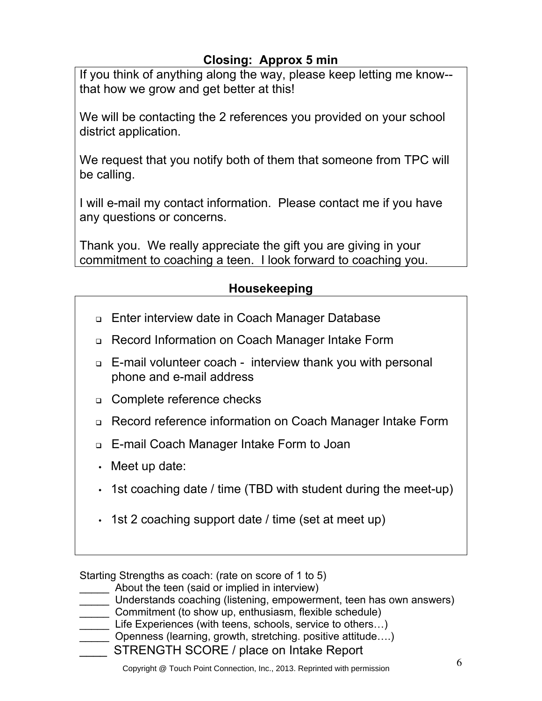#### **Closing: Approx 5 min**

If you think of anything along the way, please keep letting me know- that how we grow and get better at this!

We will be contacting the 2 references you provided on your school district application.

We request that you notify both of them that someone from TPC will be calling.

I will e-mail my contact information. Please contact me if you have any questions or concerns.

Thank you. We really appreciate the gift you are giving in your commitment to coaching a teen. I look forward to coaching you.

#### **Housekeeping**

- □ Enter interview date in Coach Manager Database
- ! Record Information on Coach Manager Intake Form
- ! E-mail volunteer coach interview thank you with personal phone and e-mail address
- **□** Complete reference checks
- ! Record reference information on Coach Manager Intake Form
- ! E-mail Coach Manager Intake Form to Joan
- Meet up date:
- 1st coaching date / time (TBD with student during the meet-up)
- 1st 2 coaching support date / time (set at meet up)

Starting Strengths as coach: (rate on score of 1 to 5)

- \_\_\_\_\_ About the teen (said or implied in interview)
- \_\_\_\_\_ Understands coaching (listening, empowerment, teen has own answers)
- $\equiv$  Commitment (to show up, enthusiasm, flexible schedule)
- Life Experiences (with teens, schools, service to others...)
- \_\_\_\_\_ Openness (learning, growth, stretching. positive attitude….)
- \_\_\_\_ STRENGTH SCORE / place on Intake Report